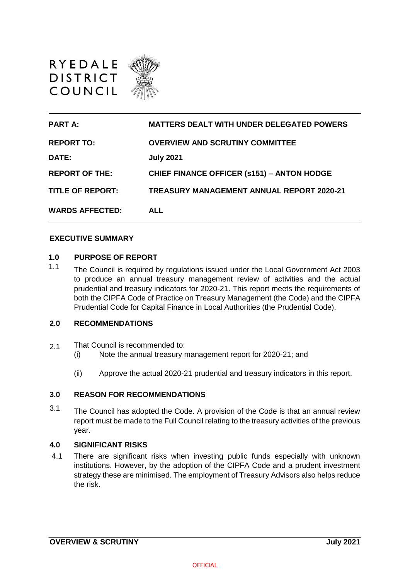



#### **EXECUTIVE SUMMARY**

## **1.0 PURPOSE OF REPORT**

1.1 The Council is required by regulations issued under the Local Government Act 2003 to produce an annual treasury management review of activities and the actual prudential and treasury indicators for 2020-21. This report meets the requirements of both the CIPFA Code of Practice on Treasury Management (the Code) and the CIPFA Prudential Code for Capital Finance in Local Authorities (the Prudential Code).

# **2.0 RECOMMENDATIONS**

- 2.1 That Council is recommended to:
	- (i) Note the annual treasury management report for 2020-21; and
	- (ii) Approve the actual 2020-21 prudential and treasury indicators in this report.

## **3.0 REASON FOR RECOMMENDATIONS**

3.1 The Council has adopted the Code. A provision of the Code is that an annual review report must be made to the Full Council relating to the treasury activities of the previous year.

#### **4.0 SIGNIFICANT RISKS**

4.1 There are significant risks when investing public funds especially with unknown institutions. However, by the adoption of the CIPFA Code and a prudent investment strategy these are minimised. The employment of Treasury Advisors also helps reduce the risk.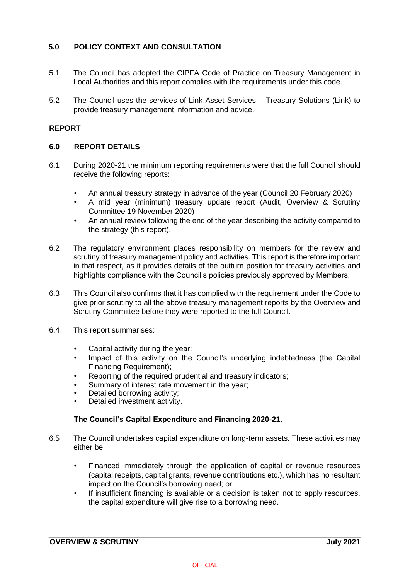# **5.0 POLICY CONTEXT AND CONSULTATION**

- 5.1 The Council has adopted the CIPFA Code of Practice on Treasury Management in Local Authorities and this report complies with the requirements under this code.
- 5.2 The Council uses the services of Link Asset Services Treasury Solutions (Link) to provide treasury management information and advice.

## **REPORT**

## **6.0 REPORT DETAILS**

- 6.1 During 2020-21 the minimum reporting requirements were that the full Council should receive the following reports:
	- An annual treasury strategy in advance of the year (Council 20 February 2020)
	- A mid year (minimum) treasury update report (Audit, Overview & Scrutiny Committee 19 November 2020)
	- An annual review following the end of the year describing the activity compared to the strategy (this report).
- 6.2 The regulatory environment places responsibility on members for the review and scrutiny of treasury management policy and activities. This report is therefore important in that respect, as it provides details of the outturn position for treasury activities and highlights compliance with the Council's policies previously approved by Members.
- 6.3 This Council also confirms that it has complied with the requirement under the Code to give prior scrutiny to all the above treasury management reports by the Overview and Scrutiny Committee before they were reported to the full Council.
- 6.4 This report summarises:
	- Capital activity during the year;
	- Impact of this activity on the Council's underlying indebtedness (the Capital Financing Requirement);
	- Reporting of the required prudential and treasury indicators:
	- Summary of interest rate movement in the year;
	- Detailed borrowing activity;
	- Detailed investment activity.

## **The Council's Capital Expenditure and Financing 2020-21.**

- 6.5 The Council undertakes capital expenditure on long-term assets. These activities may either be:
	- Financed immediately through the application of capital or revenue resources (capital receipts, capital grants, revenue contributions etc.), which has no resultant impact on the Council's borrowing need; or
	- If insufficient financing is available or a decision is taken not to apply resources, the capital expenditure will give rise to a borrowing need.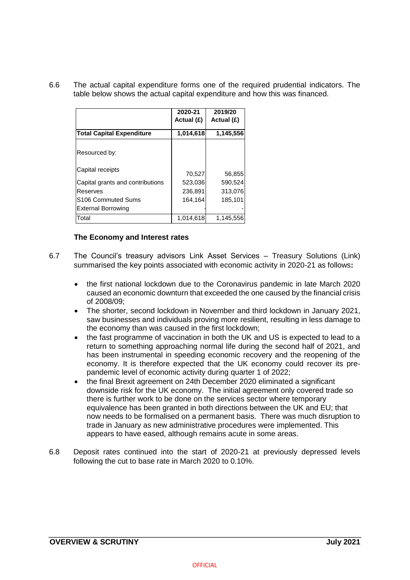6.6 The actual capital expenditure forms one of the required prudential indicators. The table below shows the actual capital expenditure and how this was financed.

|                                  | 2020-21<br>Actual (£) | 2019/20<br>Actual (£) |
|----------------------------------|-----------------------|-----------------------|
| <b>Total Capital Expenditure</b> | 1,014,618             | 1,145,556             |
| Resourced by:                    |                       |                       |
| Capital receipts                 | 70,527                | 56,855                |
| Capital grants and contributions | 523,036               | 590,524               |
| Reserves                         | 236.891               | 313,076               |
| S <sub>106</sub> Commuted Sums   | 164,164               | 185,101               |
| <b>External Borrowing</b>        |                       |                       |
| Total                            | 1.014.618             | 1,145,556             |

## **The Economy and Interest rates**

- 6.7 The Council's treasury advisors Link Asset Services Treasury Solutions (Link) summarised the key points associated with economic activity in 2020-21 as follows**:** 
	- the first national lockdown due to the Coronavirus pandemic in late March 2020 caused an economic downturn that exceeded the one caused by the financial crisis of 2008/09;
	- The shorter, second lockdown in November and third lockdown in January 2021, saw businesses and individuals proving more resilient, resulting in less damage to the economy than was caused in the first lockdown;
	- the fast programme of vaccination in both the UK and US is expected to lead to a return to something approaching normal life during the second half of 2021, and has been instrumental in speeding economic recovery and the reopening of the economy. It is therefore expected that the UK economy could recover its prepandemic level of economic activity during quarter 1 of 2022;
	- the final Brexit agreement on 24th December 2020 eliminated a significant downside risk for the UK economy. The initial agreement only covered trade so there is further work to be done on the services sector where temporary equivalence has been granted in both directions between the UK and EU; that now needs to be formalised on a permanent basis. There was much disruption to trade in January as new administrative procedures were implemented. This appears to have eased, although remains acute in some areas.
- 6.8 Deposit rates continued into the start of 2020-21 at previously depressed levels following the cut to base rate in March 2020 to 0.10%.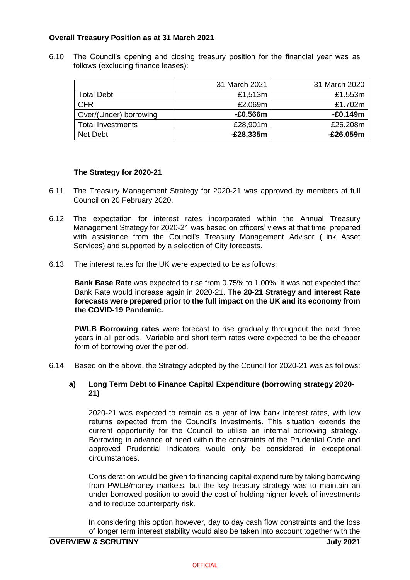# **Overall Treasury Position as at 31 March 2021**

6.10 The Council's opening and closing treasury position for the financial year was as follows (excluding finance leases):

|                          | 31 March 2021 | 31 March 2020 |
|--------------------------|---------------|---------------|
| <b>Total Debt</b>        | £1,513m       | £1.553m       |
| <b>CFR</b>               | £2.069m       | £1.702m       |
| Over/(Under) borrowing   | $-E0.566m$    | $-E0.149m$    |
| <b>Total Investments</b> | £28,901m      | £26.208m      |
| Net Debt                 | $-E28,335m$   | $-E26.059m$   |

#### **The Strategy for 2020-21**

- 6.11 The Treasury Management Strategy for 2020-21 was approved by members at full Council on 20 February 2020.
- 6.12 The expectation for interest rates incorporated within the Annual Treasury Management Strategy for 2020-21 was based on officers' views at that time, prepared with assistance from the Council's Treasury Management Advisor (Link Asset Services) and supported by a selection of City forecasts.
- 6.13 The interest rates for the UK were expected to be as follows:

**Bank Base Rate** was expected to rise from 0.75% to 1.00%. It was not expected that Bank Rate would increase again in 2020-21. **The 20-21 Strategy and interest Rate forecasts were prepared prior to the full impact on the UK and its economy from the COVID-19 Pandemic.**

**PWLB Borrowing rates** were forecast to rise gradually throughout the next three years in all periods. Variable and short term rates were expected to be the cheaper form of borrowing over the period.

6.14 Based on the above, the Strategy adopted by the Council for 2020-21 was as follows:

## **a) Long Term Debt to Finance Capital Expenditure (borrowing strategy 2020- 21)**

2020-21 was expected to remain as a year of low bank interest rates, with low returns expected from the Council's investments. This situation extends the current opportunity for the Council to utilise an internal borrowing strategy. Borrowing in advance of need within the constraints of the Prudential Code and approved Prudential Indicators would only be considered in exceptional circumstances.

Consideration would be given to financing capital expenditure by taking borrowing from PWLB/money markets, but the key treasury strategy was to maintain an under borrowed position to avoid the cost of holding higher levels of investments and to reduce counterparty risk.

In considering this option however, day to day cash flow constraints and the loss of longer term interest stability would also be taken into account together with the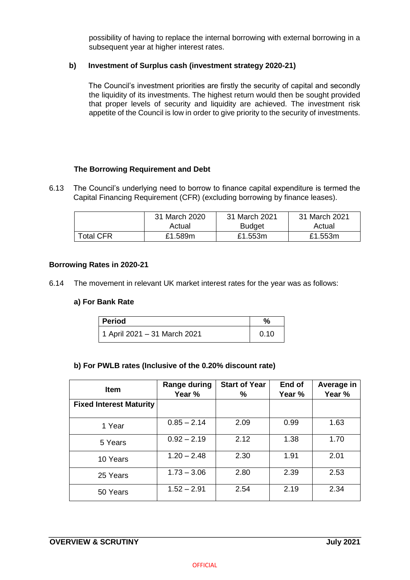possibility of having to replace the internal borrowing with external borrowing in a subsequent year at higher interest rates.

## **b) Investment of Surplus cash (investment strategy 2020-21)**

The Council's investment priorities are firstly the security of capital and secondly the liquidity of its investments. The highest return would then be sought provided that proper levels of security and liquidity are achieved. The investment risk appetite of the Council is low in order to give priority to the security of investments.

# **The Borrowing Requirement and Debt**

6.13 The Council's underlying need to borrow to finance capital expenditure is termed the Capital Financing Requirement (CFR) (excluding borrowing by finance leases).

|                  | 31 March 2020 | 31 March 2021 | 31 March 2021 |
|------------------|---------------|---------------|---------------|
|                  | Actual        | <b>Budget</b> | Actual        |
| <b>Total CFR</b> | £1.589m       | £1.553m       | £1.553m       |

## **Borrowing Rates in 2020-21**

6.14 The movement in relevant UK market interest rates for the year was as follows:

## **a) For Bank Rate**

| <b>Period</b>                | %    |
|------------------------------|------|
| 1 April 2021 – 31 March 2021 | 0.10 |

## **b) For PWLB rates (Inclusive of the 0.20% discount rate)**

| <b>Item</b>                    | Range during<br>Year % | <b>Start of Year</b><br>% | End of<br>Year % | Average in<br>Year % |
|--------------------------------|------------------------|---------------------------|------------------|----------------------|
| <b>Fixed Interest Maturity</b> |                        |                           |                  |                      |
| 1 Year                         | $0.85 - 2.14$          | 2.09                      | 0.99             | 1.63                 |
| 5 Years                        | $0.92 - 2.19$          | 2.12                      | 1.38             | 1.70                 |
| 10 Years                       | $1.20 - 2.48$          | 2.30                      | 1.91             | 2.01                 |
| 25 Years                       | $1.73 - 3.06$          | 2.80                      | 2.39             | 2.53                 |
| 50 Years                       | $1.52 - 2.91$          | 2.54                      | 2.19             | 2.34                 |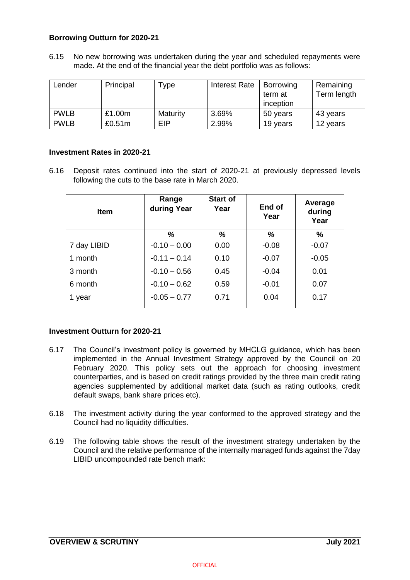## **Borrowing Outturn for 2020-21**

6.15 No new borrowing was undertaken during the year and scheduled repayments were made. At the end of the financial year the debt portfolio was as follows:

| Lender      | Principal | Type       | Interest Rate | Borrowing<br>term at | Remaining<br>Term length |
|-------------|-----------|------------|---------------|----------------------|--------------------------|
|             |           |            |               | inception            |                          |
| <b>PWLB</b> | £1.00m    | Maturity   | 3.69%         | 50 years             | 43 years                 |
| <b>PWLB</b> | £0.51m    | <b>EIP</b> | 2.99%         | 19 years             | 12 years                 |

#### **Investment Rates in 2020-21**

6.16 Deposit rates continued into the start of 2020-21 at previously depressed levels following the cuts to the base rate in March 2020.

| <b>Item</b> | Range<br>during Year | <b>Start of</b><br>Year | End of<br>Year | Average<br>during<br>Year |
|-------------|----------------------|-------------------------|----------------|---------------------------|
|             | %                    | %                       | %              | %                         |
| 7 day LIBID | $-0.10 - 0.00$       | 0.00                    | $-0.08$        | $-0.07$                   |
| 1 month     | $-0.11 - 0.14$       | 0.10                    | $-0.07$        | $-0.05$                   |
| 3 month     | $-0.10 - 0.56$       | 0.45                    | $-0.04$        | 0.01                      |
| 6 month     | $-0.10 - 0.62$       | 0.59                    | $-0.01$        | 0.07                      |
| 1 year      | $-0.05 - 0.77$       | 0.71                    | 0.04           | 0.17                      |

## **Investment Outturn for 2020-21**

- 6.17 The Council's investment policy is governed by MHCLG guidance, which has been implemented in the Annual Investment Strategy approved by the Council on 20 February 2020. This policy sets out the approach for choosing investment counterparties, and is based on credit ratings provided by the three main credit rating agencies supplemented by additional market data (such as rating outlooks, credit default swaps, bank share prices etc).
- 6.18 The investment activity during the year conformed to the approved strategy and the Council had no liquidity difficulties.
- 6.19 The following table shows the result of the investment strategy undertaken by the Council and the relative performance of the internally managed funds against the 7day LIBID uncompounded rate bench mark: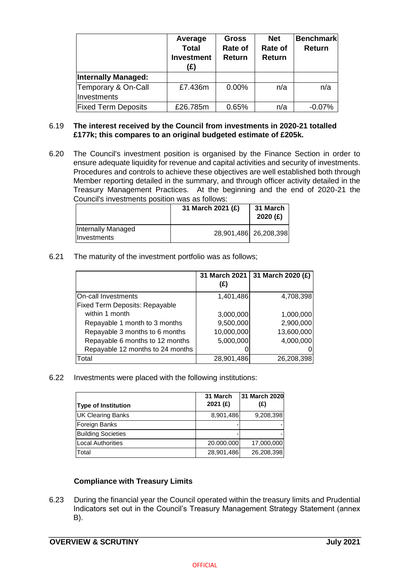|                                    | Average<br><b>Total</b><br><b>Investment</b><br>(£) | <b>Gross</b><br>Rate of<br><b>Return</b> | <b>Net</b><br>Rate of<br>Return | <b>Benchmark</b><br><b>Return</b> |
|------------------------------------|-----------------------------------------------------|------------------------------------------|---------------------------------|-----------------------------------|
| <b>Internally Managed:</b>         |                                                     |                                          |                                 |                                   |
| Temporary & On-Call<br>Investments | £7.436m                                             | 0.00%                                    | n/a                             | n/a                               |
| <b>Fixed Term Deposits</b>         | £26.785m                                            | 0.65%                                    | n/a                             | $-0.07%$                          |

#### 6.19 **The interest received by the Council from investments in 2020-21 totalled £177k; this compares to an original budgeted estimate of £205k.**

6.20 The Council's investment position is organised by the Finance Section in order to ensure adequate liquidity for revenue and capital activities and security of investments. Procedures and controls to achieve these objectives are well established both through Member reporting detailed in the summary, and through officer activity detailed in the Treasury Management Practices. At the beginning and the end of 2020-21 the Council's investments position was as follows:

|                                   | 31 March 2021 (£) | 31 March<br>2020(f)     |
|-----------------------------------|-------------------|-------------------------|
| Internally Managed<br>Investments |                   | 28,901,486   26,208,398 |

6.21 The maturity of the investment portfolio was as follows;

|                                       | 31 March 2021<br>(£) | 31 March 2020 (£) |
|---------------------------------------|----------------------|-------------------|
| On-call Investments                   | 1,401,486            | 4,708,398         |
| <b>Fixed Term Deposits: Repayable</b> |                      |                   |
| within 1 month                        | 3,000,000            | 1,000,000         |
| Repayable 1 month to 3 months         | 9,500,000            | 2,900,000         |
| Repayable 3 months to 6 months        | 10,000,000           | 13,600,000        |
| Repayable 6 months to 12 months       | 5,000,000            | 4,000,000         |
| Repayable 12 months to 24 months      |                      |                   |
| Total                                 | 28,901,486           | 26,208,398        |

6.22 Investments were placed with the following institutions:

| <b>Type of Institution</b> | 31 March<br>2021 (£) | 31 March 2020<br>(£) |
|----------------------------|----------------------|----------------------|
| <b>UK Clearing Banks</b>   | 8,901,486            | 9,208,398            |
| Foreign Banks              |                      |                      |
| <b>Building Societies</b>  |                      |                      |
| Local Authorities          | 20.000.000           | 17,000,000           |
| <b>Total</b>               | 28,901,486           | 26,208,398           |

## **Compliance with Treasury Limits**

6.23 During the financial year the Council operated within the treasury limits and Prudential Indicators set out in the Council's Treasury Management Strategy Statement (annex B).